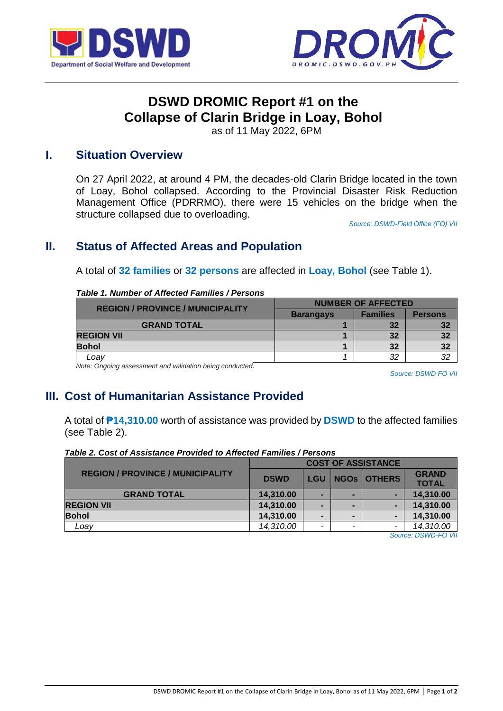



# **DSWD DROMIC Report #1 on the Collapse of Clarin Bridge in Loay, Bohol**

as of 11 May 2022, 6PM

## **I. Situation Overview**

On 27 April 2022, at around 4 PM, the decades-old Clarin Bridge located in the town of Loay, Bohol collapsed. According to the Provincial Disaster Risk Reduction Management Office (PDRRMO), there were 15 vehicles on the bridge when the structure collapsed due to overloading.

*Source: DSWD-Field Office (FO) VII*

## **II. Status of Affected Areas and Population**

A total of **32 families** or **32 persons** are affected in **Loay, Bohol** (see Table 1).

#### *Table 1. Number of Affected Families / Persons*

| <b>REGION / PROVINCE / MUNICIPALITY</b>                     | <b>NUMBER OF AFFECTED</b> |                 |                |  |
|-------------------------------------------------------------|---------------------------|-----------------|----------------|--|
|                                                             | <b>Barangays</b>          | <b>Families</b> | <b>Persons</b> |  |
| <b>GRAND TOTAL</b>                                          |                           | 32              | 32             |  |
| <b>REGION VII</b>                                           |                           | 32              | 32             |  |
| <b>Bohol</b>                                                |                           | 32              | 32             |  |
| Loav                                                        |                           | 32              |                |  |
| Metar Openham accessories to and unlided an baing sonducted |                           |                 |                |  |

*Note: Ongoing assessment and validation being conducted.* 

*Source: DSWD FO VII*

## **III. Cost of Humanitarian Assistance Provided**

A total of **₱14,310.00** worth of assistance was provided by **DSWD** to the affected families (see Table 2).

#### *Table 2. Cost of Assistance Provided to Affected Families / Persons*

| <b>COST OF ASSISTANCE</b> |            |   |   |                    |
|---------------------------|------------|---|---|--------------------|
| <b>DSWD</b>               | <b>LGU</b> |   |   | <b>GRAND</b>       |
|                           |            |   |   | <b>TOTAL</b>       |
| 14,310.00                 |            |   |   | 14,310.00          |
| 14,310.00                 | -          |   |   | 14,310.00          |
| 14,310.00                 | -          |   | - | 14,310.00          |
| 14,310.00                 | -          | - | - | 14,310.00          |
|                           |            |   |   | <b>NGOS OTHERS</b> |

*Source: DSWD-FO VII*